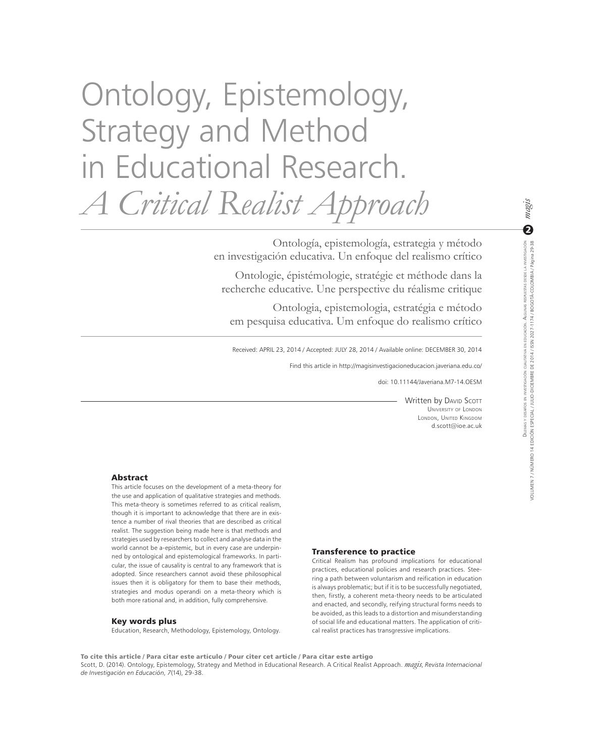# Ontology, Epistemology, Strategy and Method in Educational Research. *A Critical Realist Approach*

Ontología, epistemología, estrategia y método en investigación educativa. Un enfoque del realismo crítico

Ontologie, épistémologie, stratégie et méthode dans la recherche educative. Une perspective du réalisme critique

Ontologia, epistemologia, estratégia e método em pesquisa educativa. Um enfoque do realismo crítico

Received: APRIL 23, 2014 / Accepted: JULY 28, 2014 / Available online: DECEMBER 30, 2014

Find this article in http://magisinvestigacioneducacion.javeriana.edu.co/

doi: 10.11144/Javeriana.M7-14.OESM

Written by DAVID SCOTT UNIVERSITY OF LONDON LONDON, UNITED KINGDOM d.scott@ioe.ac.uk magis

# Abstract

This article focuses on the development of a meta-theory for the use and application of qualitative strategies and methods. This meta-theory is sometimes referred to as critical realism, though it is important to acknowledge that there are in existence a number of rival theories that are described as critical realist. The suggestion being made here is that methods and strategies used by researchers to collect and analyse data in the world cannot be a-epistemic, but in every case are underpinned by ontological and epistemological frameworks. In particular, the issue of causality is central to any framework that is adopted. Since researchers cannot avoid these philosophical issues then it is obligatory for them to base their methods, strategies and modus operandi on a meta-theory which is both more rational and, in addition, fully comprehensive.

#### Key words plus

Education, Research, Methodology, Epistemology, Ontology.

#### Transference to practice

Critical Realism has profound implications for educational practices, educational policies and research practices. Steering a path between voluntarism and reification in education is always problematic; but if it is to be successfully negotiated, then, firstly, a coherent meta-theory needs to be articulated and enacted, and secondly, reifying structural forms needs to be avoided, as this leads to a distortion and misunderstanding of social life and educational matters. The application of critical realist practices has transgressive implications.

To cite this article / Para citar este artículo / Pour citer cet article / Para citar este artigo Scott, D. (2014). Ontology, Epistemology, Strategy and Method in Educational Research. A Critical Realist Approach. *magis*, *Revista Internacional de Investigación en Educación*, *7*(14), 29-38.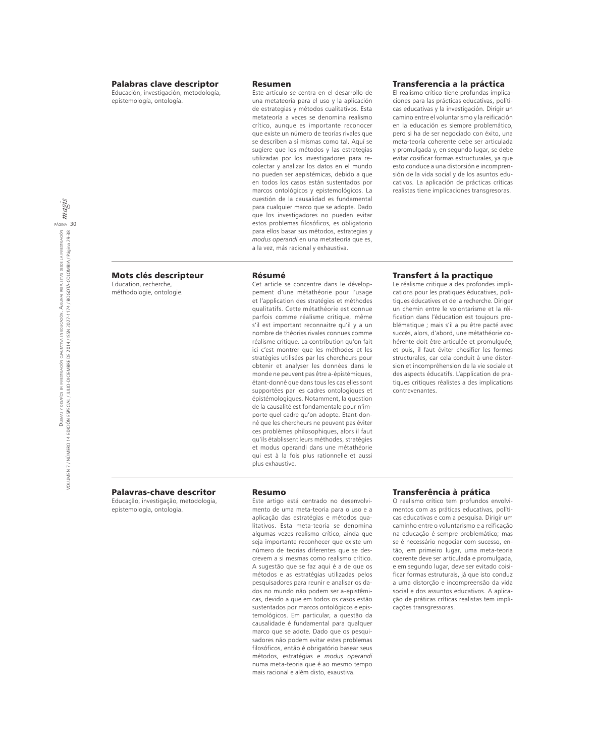#### Palabras clave descriptor

Educación, investigación, metodología, epistemología, ontología.

#### Resumen

Este artículo se centra en el desarrollo de una metateoría para el uso y la aplicación de estrategias y métodos cualitativos. Esta metateoría a veces se denomina realismo crítico, aunque es importante reconocer que existe un número de teorías rivales que se describen a sí mismas como tal. Aquí se sugiere que los métodos y las estrategias utilizadas por los investigadores para recolectar y analizar los datos en el mundo no pueden ser aepistémicas, debido a que en todos los casos están sustentados por marcos ontológicos y epistemológicos. La cuestión de la causalidad es fundamental para cualquier marco que se adopte. Dado que los investigadores no pueden evitar estos problemas filosóficos, es obligatorio para ellos basar sus métodos, estrategias y *modus operandi* en una metateoría que es, a la vez, más racional y exhaustiva.

#### Transferencia a la práctica

El realismo crítico tiene profundas implicaciones para las prácticas educativas, políticas educativas y la investigación. Dirigir un camino entre el voluntarismo y la reificación en la educación es siempre problemático, pero si ha de ser negociado con éxito, una meta-teoría coherente debe ser articulada y promulgada y, en segundo lugar, se debe evitar cosificar formas estructurales, ya que esto conduce a una distorsión e incomprensión de la vida social y de los asuntos educativos. La aplicación de prácticas críticas realistas tiene implicaciones transgresoras.

## Mots clés descripteur

Education, recherche, méthodologie, ontologie.

#### Résumé

Cet article se concentre dans le développement d'une métathéorie pour l'usage et l'application des stratégies et méthodes qualitatifs. Cette métathéorie est connue parfois comme réalisme critique, même s'il est important reconnaitre qu'il y a un nombre de théories rivales connues comme réalisme critique. La contribution qu'on fait ici c'est montrer que les méthodes et les stratégies utilisées par les chercheurs pour obtenir et analyser les données dans le monde ne peuvent pas être a-épistémiques, étant-donné que dans tous les cas elles sont supportées par les cadres ontologiques et épistémologiques. Notamment, la question de la causalité est fondamentale pour n'importe quel cadre qu'on adopte. Etant-donné que les chercheurs ne peuvent pas éviter ces problèmes philosophiques, alors il faut qu'ils établissent leurs méthodes, stratégies et modus operandi dans une métathéorie qui est à la fois plus rationnelle et aussi plus exhaustive.

#### Transfert á la practique

Le réalisme critique a des profondes implications pour les pratiques éducatives, politiques éducatives et de la recherche. Diriger un chemin entre le volontarisme et la réification dans l'éducation est toujours problématique ; mais s'il a pu être pacté avec succès, alors, d'abord, une métathéorie cohérente doit être articulée et promulguée, et puis, il faut éviter chosifier les formes structurales, car cela conduit à une distorsion et incompréhension de la vie sociale et des aspects éducatifs. L'application de pratiques critiques réalistes a des implications contrevenantes.

# Palavras-chave descritor

Educação, investigação, metodologia, epistemologia, ontologia.

#### Resumo

Este artigo está centrado no desenvolvimento de uma meta-teoria para o uso e a aplicação das estratégias e métodos qualitativos. Esta meta-teoria se denomina algumas vezes realismo crítico, ainda que seja importante reconhecer que existe um número de teorias diferentes que se descrevem a si mesmas como realismo crítico. A sugestão que se faz aqui é a de que os métodos e as estratégias utilizadas pelos pesquisadores para reunir e analisar os dados no mundo não podem ser a-epistêmicas, devido a que em todos os casos estão sustentados por marcos ontológicos e epistemológicos. Em particular, a questão da causalidade é fundamental para qualquer marco que se adote. Dado que os pesquisadores não podem evitar estes problemas filosóficos, então é obrigatório basear seus métodos, estratégias e *modus operandi* numa meta-teoria que é ao mesmo tempo mais racional e além disto, exaustiva.

#### Transferência à prática

O realismo crítico tem profundos envolvimentos com as práticas educativas, políticas educativas e com a pesquisa. Dirigir um caminho entre o voluntarismo e a reificação na educação é sempre problemático; mas se é necessário negociar com sucesso, então, em primeiro lugar, uma meta-teoria coerente deve ser articulada e promulgada, e em segundo lugar, deve ser evitado coisificar formas estruturais, já que isto conduz a uma distorção e incompreensão da vida social e dos assuntos educativos. A aplicação de práticas críticas realistas tem implicações transgressoras.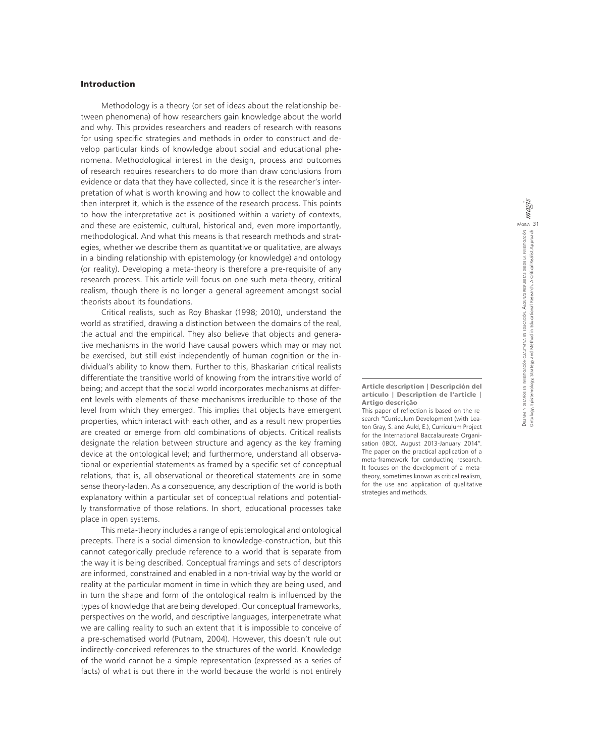# Introduction

Methodology is a theory (or set of ideas about the relationship between phenomena) of how researchers gain knowledge about the world and why. This provides researchers and readers of research with reasons for using specific strategies and methods in order to construct and develop particular kinds of knowledge about social and educational phenomena. Methodological interest in the design, process and outcomes of research requires researchers to do more than draw conclusions from evidence or data that they have collected, since it is the researcher's interpretation of what is worth knowing and how to collect the knowable and then interpret it, which is the essence of the research process. This points to how the interpretative act is positioned within a variety of contexts, and these are epistemic, cultural, historical and, even more importantly, methodological. And what this means is that research methods and strategies, whether we describe them as quantitative or qualitative, are always in a binding relationship with epistemology (or knowledge) and ontology (or reality). Developing a meta-theory is therefore a pre-requisite of any research process. This article will focus on one such meta-theory, critical realism, though there is no longer a general agreement amongst social theorists about its foundations.

Critical realists, such as Roy Bhaskar (1998; 2010), understand the world as stratified, drawing a distinction between the domains of the real, the actual and the empirical. They also believe that objects and generative mechanisms in the world have causal powers which may or may not be exercised, but still exist independently of human cognition or the individual's ability to know them. Further to this, Bhaskarian critical realists differentiate the transitive world of knowing from the intransitive world of being; and accept that the social world incorporates mechanisms at different levels with elements of these mechanisms irreducible to those of the level from which they emerged. This implies that objects have emergent properties, which interact with each other, and as a result new properties are created or emerge from old combinations of objects. Critical realists designate the relation between structure and agency as the key framing device at the ontological level; and furthermore, understand all observational or experiential statements as framed by a specific set of conceptual relations, that is, all observational or theoretical statements are in some sense theory-laden. As a consequence, any description of the world is both explanatory within a particular set of conceptual relations and potentially transformative of those relations. In short, educational processes take place in open systems.

This meta-theory includes a range of epistemological and ontological precepts. There is a social dimension to knowledge-construction, but this cannot categorically preclude reference to a world that is separate from the way it is being described. Conceptual framings and sets of descriptors are informed, constrained and enabled in a non-trivial way by the world or reality at the particular moment in time in which they are being used, and in turn the shape and form of the ontological realm is influenced by the types of knowledge that are being developed. Our conceptual frameworks, perspectives on the world, and descriptive languages, interpenetrate what we are calling reality to such an extent that it is impossible to conceive of a pre-schematised world (Putnam, 2004). However, this doesn't rule out indirectly-conceived references to the structures of the world. Knowledge of the world cannot be a simple representation (expressed as a series of facts) of what is out there in the world because the world is not entirely

Article description | Descripción del artículo | Description de l'article | Artigo descrição

This paper of reflection is based on the research "Curriculum Development (with Leaton Gray, S. and Auld, E.), Curriculum Project for the International Baccalaureate Organisation (IBO), August 2013-January 2014". The paper on the practical application of a meta-framework for conducting research. It focuses on the development of a metatheory, sometimes known as critical realism, for the use and application of qualitative strategies and methods.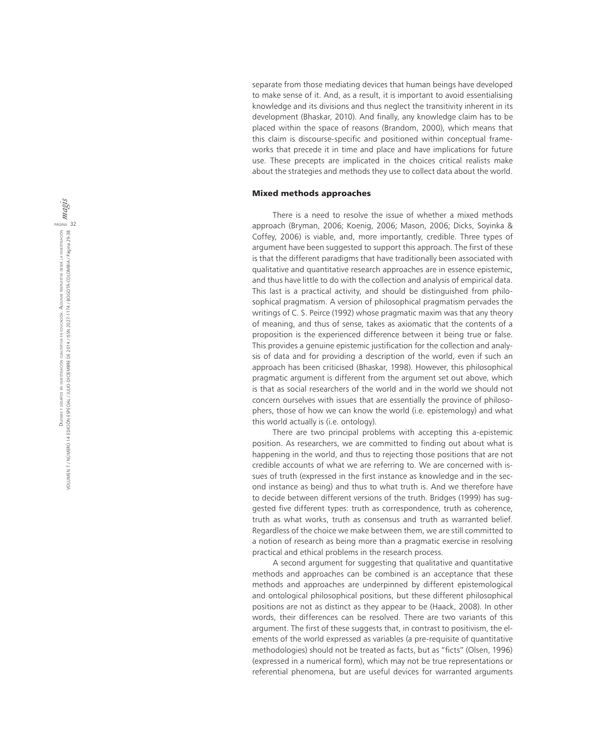separate from those mediating devices that human beings have developed to make sense of it. And, as a result, it is important to avoid essentialising knowledge and its divisions and thus neglect the transitivity inherent in its development (Bhaskar, 2010). And finally, any knowledge claim has to be placed within the space of reasons (Brandom, 2000), which means that this claim is discourse-specific and positioned within conceptual frame works that precede it in time and place and have implications for future use. These precepts are implicated in the choices critical realists make about the strategies and methods they use to collect data about the world.

## Mixed methods approaches

There is a need to resolve the issue of whether a mixed methods approach (Bryman, 2006; Koenig, 2006; Mason, 2006; Dicks, Soyinka & Coffey, 2006) is viable, and, more importantly, credible. Three types of argument have been suggested to support this approach. The first of these is that the different paradigms that have traditionally been associated with qualitative and quantitative research approaches are in essence epistemic, and thus have little to do with the collection and analysis of empirical data. This last is a practical activity, and should be distinguished from philo sophical pragmatism. A version of philosophical pragmatism pervades the writings of C. S. Peirce (1992) whose pragmatic maxim was that any theory of meaning, and thus of sense, takes as axiomatic that the contents of a proposition is the experienced difference between it being true or false. This provides a genuine epistemic justification for the collection and analy sis of data and for providing a description of the world, even if such an approach has been criticised (Bhaskar, 1998). However, this philosophical pragmatic argument is different from the argument set out above, which is that as social researchers of the world and in the world we should not concern ourselves with issues that are essentially the province of philoso phers, those of how we can know the world (i.e. epistemology) and what this world actually is (i.e. ontology).

There are two principal problems with accepting this a-epistemic position. As researchers, we are committed to finding out about what is happening in the world, and thus to rejecting those positions that are not credible accounts of what we are referring to. We are concerned with is sues of truth (expressed in the first instance as knowledge and in the sec ond instance as being) and thus to what truth is. And we therefore have to decide between different versions of the truth. Bridges (1999) has sug gested five different types: truth as correspondence, truth as coherence, truth as what works, truth as consensus and truth as warranted belief. Regardless of the choice we make between them, we are still committed to a notion of research as being more than a pragmatic exercise in resolving practical and ethical problems in the research process.

A second argument for suggesting that qualitative and quantitative methods and approaches can be combined is an acceptance that these methods and approaches are underpinned by different epistemological and ontological philosophical positions, but these different philosophical positions are not as distinct as they appear to be (Haack, 2008). In other words, their differences can be resolved. There are two variants of this argument. The first of these suggests that, in contrast to positivism, the el ements of the world expressed as variables (a pre-requisite of quantitative methodologies) should not be treated as facts, but as "ficts" (Olsen, 1996) (expressed in a numerical form), which may not be true representations or referential phenomena, but are useful devices for warranted arguments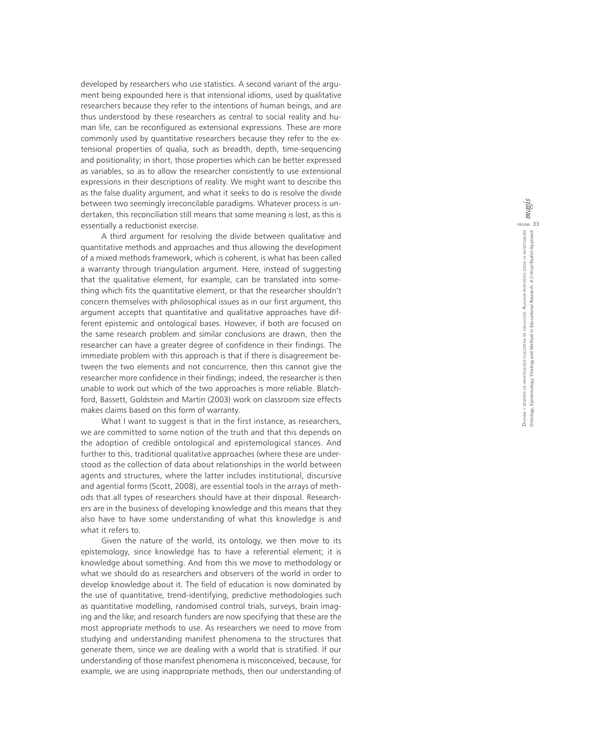developed by researchers who use statistics. A second variant of the argu ment being expounded here is that intensional idioms, used by qualitative researchers because they refer to the intentions of human beings, and are thus understood by these researchers as central to social reality and hu man life, can be reconfigured as extensional expressions. These are more commonly used by quantitative researchers because they refer to the ex tensional properties of qualia, such as breadth, depth, time-sequencing and positionality; in short, those properties which can be better expressed as variables, so as to allow the researcher consistently to use extensional expressions in their descriptions of reality. We might want to describe this as the false duality argument, and what it seeks to do is resolve the divide between two seemingly irreconcilable paradigms. Whatever process is un dertaken, this reconciliation still means that some meaning is lost, as this is essentially a reductionist exercise.

A third argument for resolving the divide between qualitative and quantitative methods and approaches and thus allowing the development of a mixed methods framework, which is coherent, is what has been called a warranty through triangulation argument. Here, instead of suggesting that the qualitative element, for example, can be translated into some thing which fits the quantitative element, or that the researcher shouldn't concern themselves with philosophical issues as in our first argument, this argument accepts that quantitative and qualitative approaches have dif ferent epistemic and ontological bases. However, if both are focused on the same research problem and similar conclusions are drawn, then the researcher can have a greater degree of confidence in their findings. The immediate problem with this approach is that if there is disagreement be tween the two elements and not concurrence, then this cannot give the researcher more confidence in their findings; indeed, the researcher is then unable to work out which of the two approaches is more reliable. Blatch ford, Bassett, Goldstein and Martin (2003) work on classroom size effects makes claims based on this form of warranty.

What I want to suggest is that in the first instance, as researchers, we are committed to some notion of the truth and that this depends on the adoption of credible ontological and epistemological stances. And further to this, traditional qualitative approaches (where these are under stood as the collection of data about relationships in the world between agents and structures, where the latter includes institutional, discursive and agential forms (Scott, 2008), are essential tools in the arrays of meth ods that all types of researchers should have at their disposal. Research ers are in the business of developing knowledge and this means that they also have to have some understanding of what this knowledge is and what it refers to.

Given the nature of the world, its ontology, we then move to its epistemology, since knowledge has to have a referential element; it is knowledge about something. And from this we move to methodology or what we should do as researchers and observers of the world in order to develop knowledge about it. The field of education is now dominated by the use of quantitative, trend-identifying, predictive methodologies such as quantitative modelling, randomised control trials, surveys, brain imag ing and the like; and research funders are now specifying that these are the most appropriate methods to use. As researchers we need to move from studying and understanding manifest phenomena to the structures that generate them, since we are dealing with a world that is stratified. If our understanding of those manifest phenomena is misconceived, because, for example, we are using inappropriate methods, then our understanding of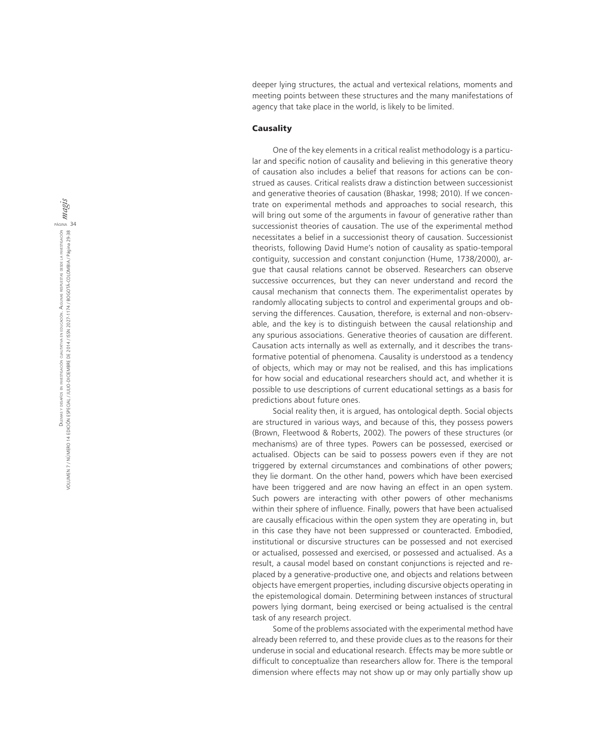deeper lying structures, the actual and vertexical relations, moments and meeting points between these structures and the many manifestations of agency that take place in the world, is likely to be limited.

# **Causality**

One of the key elements in a critical realist methodology is a particu lar and specific notion of causality and believing in this generative theory of causation also includes a belief that reasons for actions can be con strued as causes. Critical realists draw a distinction between successionist and generative theories of causation (Bhaskar, 1998; 2010). If we concen trate on experimental methods and approaches to social research, this will bring out some of the arguments in favour of generative rather than successionist theories of causation. The use of the experimental method necessitates a belief in a successionist theory of causation. Successionist theorists, following David Hume's notion of causality as spatio-temporal contiguity, succession and constant conjunction (Hume, 1738/2000), ar gue that causal relations cannot be observed. Researchers can observe successive occurrences, but they can never understand and record the causal mechanism that connects them. The experimentalist operates by randomly allocating subjects to control and experimental groups and ob serving the differences. Causation, therefore, is external and non-observ able, and the key is to distinguish between the causal relationship and any spurious associations. Generative theories of causation are different. Causation acts internally as well as externally, and it describes the trans formative potential of phenomena. Causality is understood as a tendency of objects, which may or may not be realised, and this has implications for how social and educational researchers should act, and whether it is possible to use descriptions of current educational settings as a basis for predictions about future ones.

Social reality then, it is argued, has ontological depth. Social objects are structured in various ways, and because of this, they possess powers (Brown, Fleetwood & Roberts, 2002). The powers of these structures (or mechanisms) are of three types. Powers can be possessed, exercised or actualised. Objects can be said to possess powers even if they are not triggered by external circumstances and combinations of other powers; they lie dormant. On the other hand, powers which have been exercised have been triggered and are now having an effect in an open system. Such powers are interacting with other powers of other mechanisms within their sphere of influence. Finally, powers that have been actualised are causally efficacious within the open system they are operating in, but in this case they have not been suppressed or counteracted. Embodied, institutional or discursive structures can be possessed and not exercised or actualised, possessed and exercised, or possessed and actualised. As a result, a causal model based on constant conjunctions is rejected and re placed by a generative-productive one, and objects and relations between objects have emergent properties, including discursive objects operating in the epistemological domain. Determining between instances of structural powers lying dormant, being exercised or being actualised is the central task of any research project.

Some of the problems associated with the experimental method have already been referred to, and these provide clues as to the reasons for their underuse in social and educational research. Effects may be more subtle or difficult to conceptualize than researchers allow for. There is the temporal dimension where effects may not show up or may only partially show up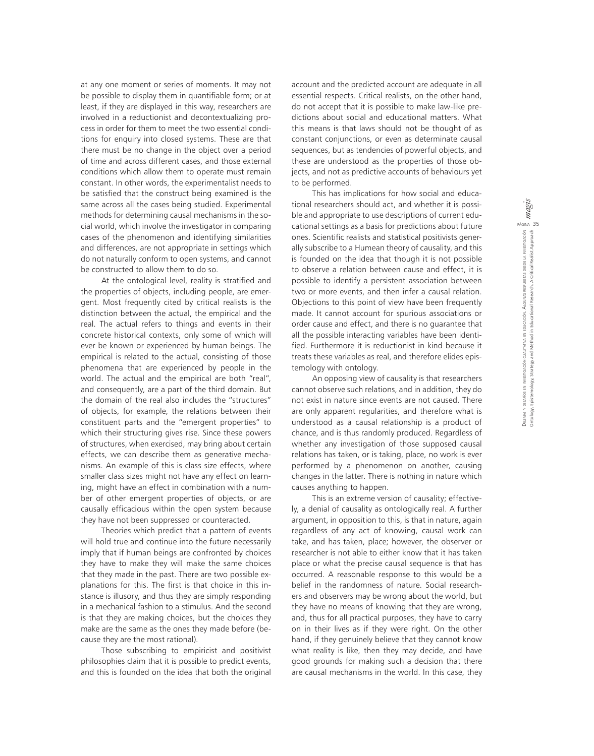at any one moment or series of moments. It may not be possible to display them in quantifiable form; or at least, if they are displayed in this way, researchers are involved in a reductionist and decontextualizing process in order for them to meet the two essential conditions for enquiry into closed systems. These are that there must be no change in the object over a period of time and across different cases, and those external conditions which allow them to operate must remain constant. In other words, the experimentalist needs to be satisfied that the construct being examined is the same across all the cases being studied. Experimental methods for determining causal mechanisms in the social world, which involve the investigator in comparing cases of the phenomenon and identifying similarities and differences, are not appropriate in settings which do not naturally conform to open systems, and cannot be constructed to allow them to do so.

At the ontological level, reality is stratified and the properties of objects, including people, are emergent. Most frequently cited by critical realists is the distinction between the actual, the empirical and the real. The actual refers to things and events in their concrete historical contexts, only some of which will ever be known or experienced by human beings. The empirical is related to the actual, consisting of those phenomena that are experienced by people in the world. The actual and the empirical are both "real", and consequently, are a part of the third domain. But the domain of the real also includes the "structures" of objects, for example, the relations between their constituent parts and the "emergent properties" to which their structuring gives rise. Since these powers of structures, when exercised, may bring about certain effects, we can describe them as generative mechanisms. An example of this is class size effects, where smaller class sizes might not have any effect on learning, might have an effect in combination with a number of other emergent properties of objects, or are causally efficacious within the open system because they have not been suppressed or counteracted.

Theories which predict that a pattern of events will hold true and continue into the future necessarily imply that if human beings are confronted by choices they have to make they will make the same choices that they made in the past. There are two possible explanations for this. The first is that choice in this instance is illusory, and thus they are simply responding in a mechanical fashion to a stimulus. And the second is that they are making choices, but the choices they make are the same as the ones they made before (because they are the most rational).

Those subscribing to empiricist and positivist philosophies claim that it is possible to predict events, and this is founded on the idea that both the original

account and the predicted account are adequate in all essential respects. Critical realists, on the other hand, do not accept that it is possible to make law-like predictions about social and educational matters. What this means is that laws should not be thought of as constant conjunctions, or even as determinate causal sequences, but as tendencies of powerful objects, and these are understood as the properties of those objects, and not as predictive accounts of behaviours yet to be performed.

This has implications for how social and educational researchers should act, and whether it is possible and appropriate to use descriptions of current educational settings as a basis for predictions about future ones. Scientific realists and statistical positivists generally subscribe to a Humean theory of causality, and this is founded on the idea that though it is not possible to observe a relation between cause and effect, it is possible to identify a persistent association between two or more events, and then infer a causal relation. Objections to this point of view have been frequently made. It cannot account for spurious associations or order cause and effect, and there is no guarantee that all the possible interacting variables have been identified. Furthermore it is reductionist in kind because it treats these variables as real, and therefore elides epistemology with ontology.

An opposing view of causality is that researchers cannot observe such relations, and in addition, they do not exist in nature since events are not caused. There are only apparent regularities, and therefore what is understood as a causal relationship is a product of chance, and is thus randomly produced. Regardless of whether any investigation of those supposed causal relations has taken, or is taking, place, no work is ever performed by a phenomenon on another, causing changes in the latter. There is nothing in nature which causes anything to happen.

This is an extreme version of causality; effectively, a denial of causality as ontologically real. A further argument, in opposition to this, is that in nature, again regardless of any act of knowing, causal work can take, and has taken, place; however, the observer or researcher is not able to either know that it has taken place or what the precise causal sequence is that has occurred. A reasonable response to this would be a belief in the randomness of nature. Social researchers and observers may be wrong about the world, but they have no means of knowing that they are wrong, and, thus for all practical purposes, they have to carry on in their lives as if they were right. On the other hand, if they genuinely believe that they cannot know what reality is like, then they may decide, and have good grounds for making such a decision that there are causal mechanisms in the world. In this case, they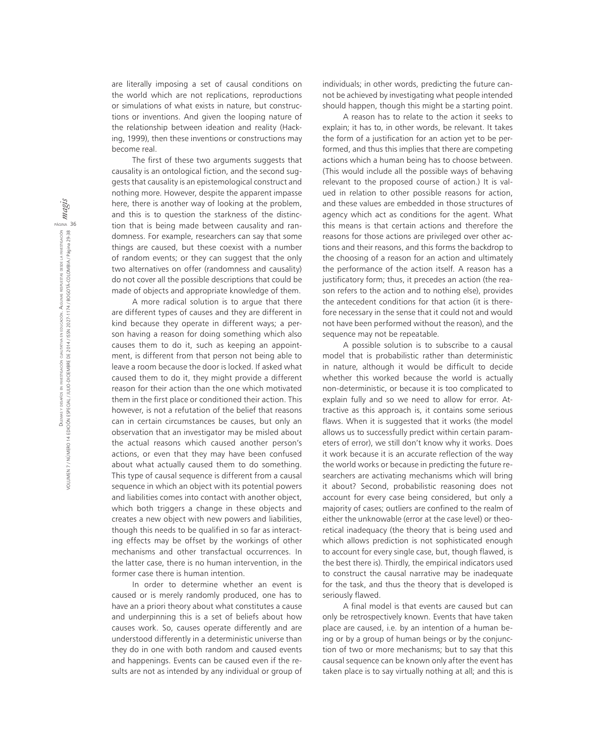are literally imposing a set of causal conditions on the world which are not replications, reproductions or simulations of what exists in nature, but constructions or inventions. And given the looping nature of the relationship between ideation and reality (Hacking, 1999), then these inventions or constructions may become real.

The first of these two arguments suggests that causality is an ontological fiction, and the second suggests that causality is an epistemological construct and nothing more. However, despite the apparent impasse here, there is another way of looking at the problem, and this is to question the starkness of the distinction that is being made between causality and randomness. For example, researchers can say that some things are caused, but these coexist with a number of random events; or they can suggest that the only two alternatives on offer (randomness and causality) do not cover all the possible descriptions that could be made of objects and appropriate knowledge of them.

A more radical solution is to argue that there are different types of causes and they are different in kind because they operate in different ways; a person having a reason for doing something which also causes them to do it, such as keeping an appointment, is different from that person not being able to leave a room because the door is locked. If asked what caused them to do it, they might provide a different reason for their action than the one which motivated them in the first place or conditioned their action. This however, is not a refutation of the belief that reasons can in certain circumstances be causes, but only an observation that an investigator may be misled about the actual reasons which caused another person's actions, or even that they may have been confused about what actually caused them to do something. This type of causal sequence is different from a causal sequence in which an object with its potential powers and liabilities comes into contact with another object, which both triggers a change in these objects and creates a new object with new powers and liabilities, though this needs to be qualified in so far as interacting effects may be offset by the workings of other mechanisms and other transfactual occurrences. In the latter case, there is no human intervention, in the former case there is human intention.

In order to determine whether an event is caused or is merely randomly produced, one has to have an a priori theory about what constitutes a cause and underpinning this is a set of beliefs about how causes work. So, causes operate differently and are understood differently in a deterministic universe than they do in one with both random and caused events and happenings. Events can be caused even if the results are not as intended by any individual or group of

individuals; in other words, predicting the future cannot be achieved by investigating what people intended should happen, though this might be a starting point.

A reason has to relate to the action it seeks to explain; it has to, in other words, be relevant. It takes the form of a justification for an action yet to be performed, and thus this implies that there are competing actions which a human being has to choose between. (This would include all the possible ways of behaving relevant to the proposed course of action.) It is valued in relation to other possible reasons for action, and these values are embedded in those structures of agency which act as conditions for the agent. What this means is that certain actions and therefore the reasons for those actions are privileged over other actions and their reasons, and this forms the backdrop to the choosing of a reason for an action and ultimately the performance of the action itself. A reason has a justificatory form; thus, it precedes an action (the reason refers to the action and to nothing else), provides the antecedent conditions for that action (it is therefore necessary in the sense that it could not and would not have been performed without the reason), and the sequence may not be repeatable.

A possible solution is to subscribe to a causal model that is probabilistic rather than deterministic in nature, although it would be difficult to decide whether this worked because the world is actually non-deterministic, or because it is too complicated to explain fully and so we need to allow for error. Attractive as this approach is, it contains some serious flaws. When it is suggested that it works (the model allows us to successfully predict within certain parameters of error), we still don't know why it works. Does it work because it is an accurate reflection of the way the world works or because in predicting the future researchers are activating mechanisms which will bring it about? Second, probabilistic reasoning does not account for every case being considered, but only a majority of cases; outliers are confined to the realm of either the unknowable (error at the case level) or theoretical inadequacy (the theory that is being used and which allows prediction is not sophisticated enough to account for every single case, but, though flawed, is the best there is). Thirdly, the empirical indicators used to construct the causal narrative may be inadequate for the task, and thus the theory that is developed is seriously flawed.

A final model is that events are caused but can only be retrospectively known. Events that have taken place are caused, i.e. by an intention of a human being or by a group of human beings or by the conjunction of two or more mechanisms; but to say that this causal sequence can be known only after the event has taken place is to say virtually nothing at all; and this is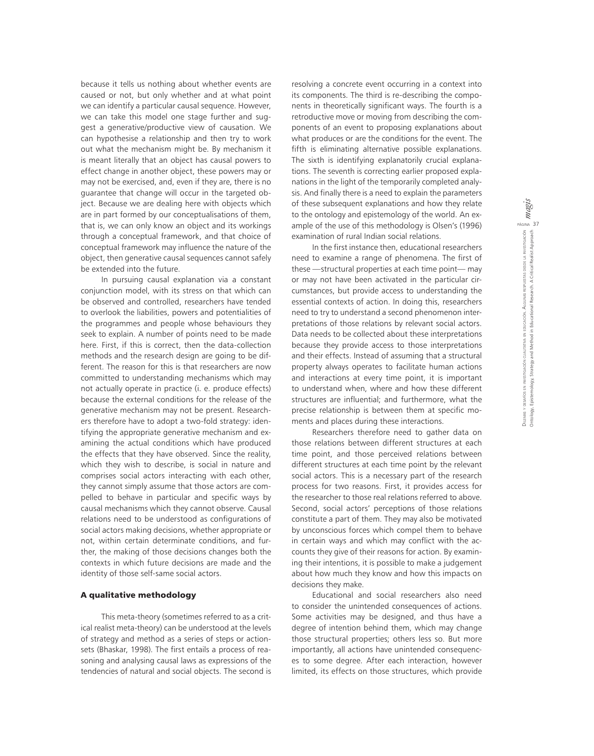Dilemas y Desafíos en investigación cualitativa en eDucación. algunas respuestas DesDe la investigación Dilemas Y besarios en investigacion cualitativa en ebucacion. Algunas resenestas bespe la investigacion = *magis*<br>Ontology, Epistemology, Strategy and Method in Educational Research. A Critical Realist Approach

magis

because it tells us nothing about whether events are caused or not, but only whether and at what point we can identify a particular causal sequence. However, we can take this model one stage further and suggest a generative/productive view of causation. We can hypothesise a relationship and then try to work out what the mechanism might be. By mechanism it is meant literally that an object has causal powers to effect change in another object, these powers may or may not be exercised, and, even if they are, there is no guarantee that change will occur in the targeted object. Because we are dealing here with objects which are in part formed by our conceptualisations of them, that is, we can only know an object and its workings through a conceptual framework, and that choice of conceptual framework may influence the nature of the object, then generative causal sequences cannot safely be extended into the future.

In pursuing causal explanation via a constant conjunction model, with its stress on that which can be observed and controlled, researchers have tended to overlook the liabilities, powers and potentialities of the programmes and people whose behaviours they seek to explain. A number of points need to be made here. First, if this is correct, then the data-collection methods and the research design are going to be different. The reason for this is that researchers are now committed to understanding mechanisms which may not actually operate in practice (i. e. produce effects) because the external conditions for the release of the generative mechanism may not be present. Researchers therefore have to adopt a two-fold strategy: identifying the appropriate generative mechanism and examining the actual conditions which have produced the effects that they have observed. Since the reality, which they wish to describe, is social in nature and comprises social actors interacting with each other, they cannot simply assume that those actors are compelled to behave in particular and specific ways by causal mechanisms which they cannot observe. Causal relations need to be understood as configurations of social actors making decisions, whether appropriate or not, within certain determinate conditions, and further, the making of those decisions changes both the contexts in which future decisions are made and the identity of those self-same social actors.

# A qualitative methodology

This meta-theory (sometimes referred to as a critical realist meta-theory) can be understood at the levels of strategy and method as a series of steps or actionsets (Bhaskar, 1998). The first entails a process of reasoning and analysing causal laws as expressions of the tendencies of natural and social objects. The second is

resolving a concrete event occurring in a context into its components. The third is re-describing the components in theoretically significant ways. The fourth is a retroductive move or moving from describing the components of an event to proposing explanations about what produces or are the conditions for the event. The fifth is eliminating alternative possible explanations. The sixth is identifying explanatorily crucial explanations. The seventh is correcting earlier proposed explanations in the light of the temporarily completed analysis. And finally there is a need to explain the parameters of these subsequent explanations and how they relate to the ontology and epistemology of the world. An example of the use of this methodology is Olsen's (1996) examination of rural Indian social relations.

In the first instance then, educational researchers need to examine a range of phenomena. The first of these —structural properties at each time point— may or may not have been activated in the particular circumstances, but provide access to understanding the essential contexts of action. In doing this, researchers need to try to understand a second phenomenon interpretations of those relations by relevant social actors. Data needs to be collected about these interpretations because they provide access to those interpretations and their effects. Instead of assuming that a structural property always operates to facilitate human actions and interactions at every time point, it is important to understand when, where and how these different structures are influential; and furthermore, what the precise relationship is between them at specific moments and places during these interactions.

Researchers therefore need to gather data on those relations between different structures at each time point, and those perceived relations between different structures at each time point by the relevant social actors. This is a necessary part of the research process for two reasons. First, it provides access for the researcher to those real relations referred to above. Second, social actors' perceptions of those relations constitute a part of them. They may also be motivated by unconscious forces which compel them to behave in certain ways and which may conflict with the accounts they give of their reasons for action. By examining their intentions, it is possible to make a judgement about how much they know and how this impacts on decisions they make.

Educational and social researchers also need to consider the unintended consequences of actions. Some activities may be designed, and thus have a degree of intention behind them, which may change those structural properties; others less so. But more importantly, all actions have unintended consequences to some degree. After each interaction, however limited, its effects on those structures, which provide